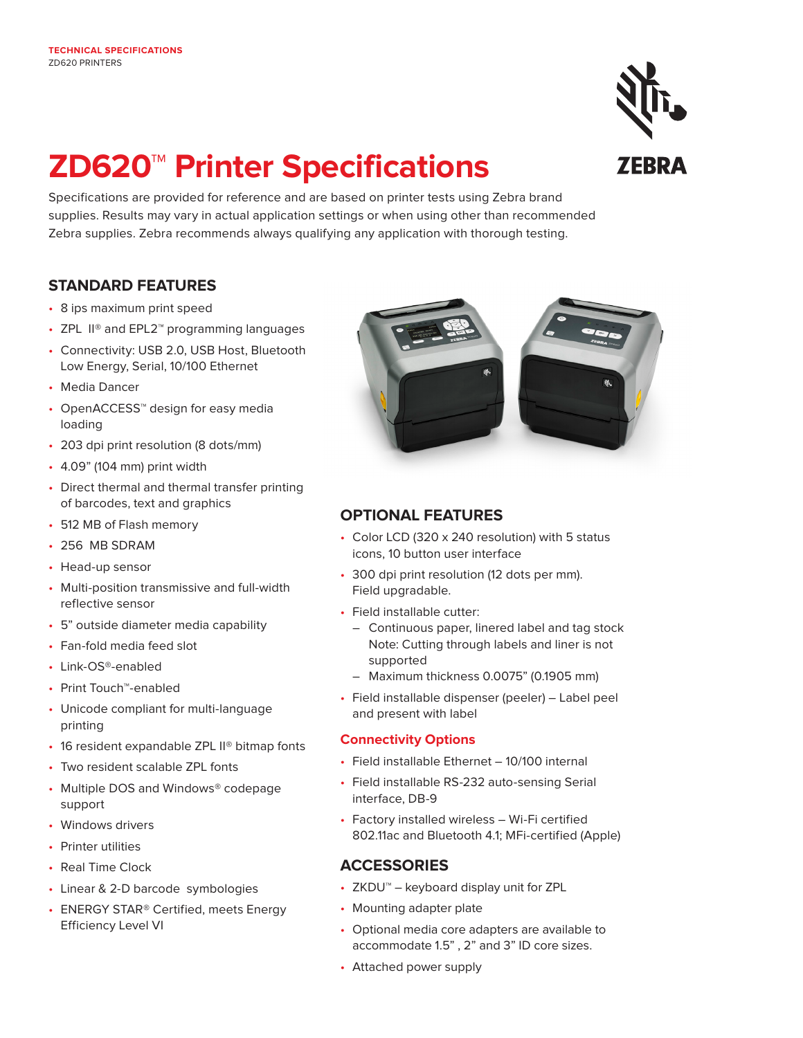# **ZD620™ Printer Specifications**

Specifications are provided for reference and are based on printer tests using Zebra brand supplies. Results may vary in actual application settings or when using other than recommended Zebra supplies. Zebra recommends always qualifying any application with thorough testing.

# **STANDARD FEATURES**

- 8 ips maximum print speed
- ZPL II® and EPL2™ programming languages
- Connectivity: USB 2.0, USB Host, Bluetooth Low Energy, Serial, 10/100 Ethernet
- Media Dancer
- OpenACCESS™ design for easy media loading
- 203 dpi print resolution (8 dots/mm)
- 4.09" (104 mm) print width
- Direct thermal and thermal transfer printing of barcodes, text and graphics
- 512 MB of Flash memory
- 256 MB SDRAM
- Head-up sensor
- Multi-position transmissive and full-width reflective sensor
- 5" outside diameter media capability
- Fan-fold media feed slot
- Link-OS®-enabled
- Print Touch™-enabled
- Unicode compliant for multi-language printing
- 16 resident expandable ZPL II<sup>®</sup> bitmap fonts
- Two resident scalable ZPL fonts
- Multiple DOS and Windows® codepage support
- Windows drivers
- Printer utilities
- Real Time Clock
- Linear & 2-D barcode symbologies
- ENERGY STAR<sup>®</sup> Certified, meets Energy Efficiency Level VI



# **OPTIONAL FEATURES**

- Color LCD (320 x 240 resolution) with 5 status icons, 10 button user interface
- 300 dpi print resolution (12 dots per mm). Field upgradable.
- Field installable cutter:
	- Continuous paper, linered label and tag stock Note: Cutting through labels and liner is not supported
	- Maximum thickness 0.0075" (0.1905 mm)
- Field installable dispenser (peeler) Label peel and present with label

#### **Connectivity Options**

- Field installable Ethernet 10/100 internal
- Field installable RS-232 auto-sensing Serial interface, DB-9
- Factory installed wireless Wi-Fi certified 802.11ac and Bluetooth 4.1; MFi-certified (Apple)

# **ACCESSORIES**

- ZKDU™ keyboard display unit for ZPL
- Mounting adapter plate
- Optional media core adapters are available to accommodate 1.5" , 2" and 3" ID core sizes.
- Attached power supply

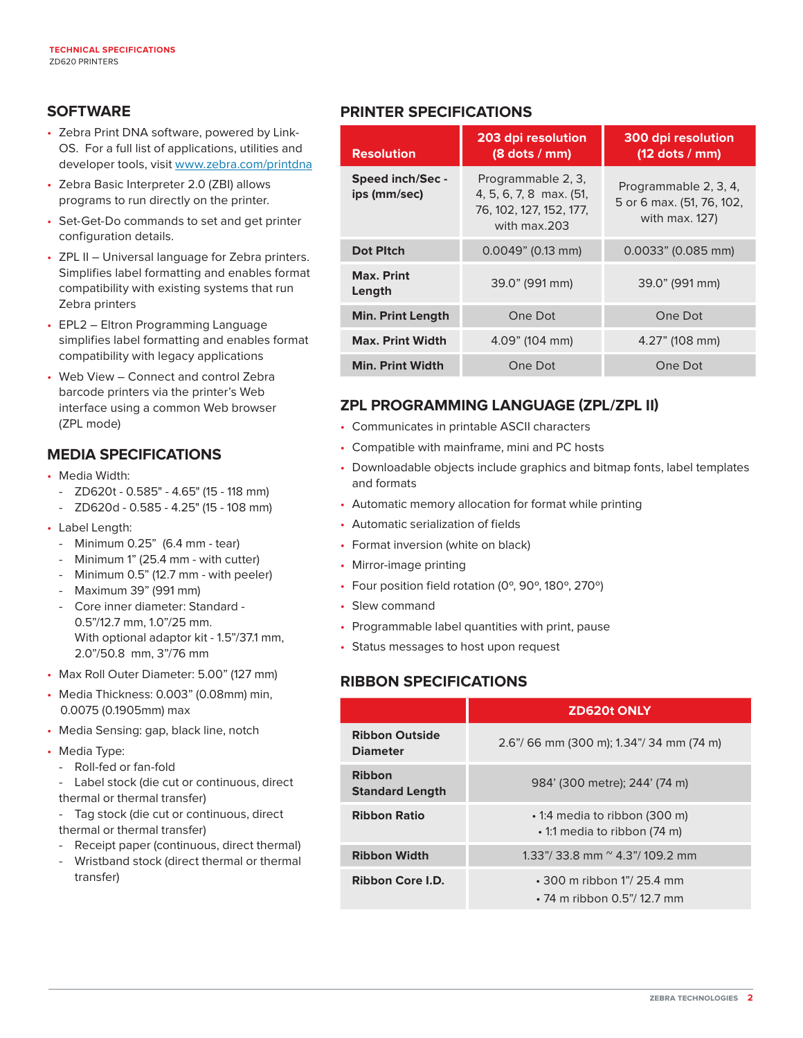# **SOFTWARE**

- Zebra Print DNA software, powered by Link-OS. For a full list of applications, utilities and developer tools, visit [www.zebra.com/printdna](http://www.zebra.com/printdna)
- Zebra Basic Interpreter 2.0 (ZBI) allows programs to run directly on the printer.
- Set-Get-Do commands to set and get printer configuration details.
- ZPL II Universal language for Zebra printers. Simplifies label formatting and enables format compatibility with existing systems that run Zebra printers
- EPL2 Eltron Programming Language simplifies label formatting and enables format compatibility with legacy applications
- Web View Connect and control Zebra barcode printers via the printer's Web interface using a common Web browser (ZPL mode)

# **MEDIA SPECIFICATIONS**

- Media Width:
	- ZD620t 0.585" 4.65" (15 118 mm)
	- ZD620d 0.585 4.25" (15 108 mm)
- Label Length:
	- Minimum 0.25" (6.4 mm tear)
	- Minimum 1" (25.4 mm with cutter)
	- Minimum 0.5" (12.7 mm with peeler)
	- Maximum 39" (991 mm)
	- Core inner diameter: Standard 0.5"/12.7 mm, 1.0"/25 mm. With optional adaptor kit - 1.5"/37.1 mm, 2.0"/50.8 mm, 3"/76 mm
- Max Roll Outer Diameter: 5.00" (127 mm)
- Media Thickness: 0.003" (0.08mm) min, 0.0075 (0.1905mm) max
- Media Sensing: gap, black line, notch
- Media Type:
	- Roll-fed or fan-fold
	- Label stock (die cut or continuous, direct thermal or thermal transfer)
	- Tag stock (die cut or continuous, direct thermal or thermal transfer)
	- Receipt paper (continuous, direct thermal)
	- Wristband stock (direct thermal or thermal transfer)

# **PRINTER SPECIFICATIONS**

| <b>Resolution</b>                       | 203 dpi resolution<br>$(8$ dots $/$ mm)                                                  | 300 dpi resolution<br>$(12$ dots / mm)                               |
|-----------------------------------------|------------------------------------------------------------------------------------------|----------------------------------------------------------------------|
| <b>Speed inch/Sec -</b><br>ips (mm/sec) | Programmable 2, 3,<br>4, 5, 6, 7, 8 max. (51,<br>76, 102, 127, 152, 177,<br>with max.203 | Programmable 2, 3, 4,<br>5 or 6 max. (51, 76, 102,<br>with max. 127) |
| <b>Dot Pitch</b>                        | $0.0049$ " (0.13 mm)                                                                     | $0.0033$ " (0.085 mm)                                                |
| <b>Max. Print</b><br>Length             | 39.0" (991 mm)                                                                           | 39.0" (991 mm)                                                       |
| <b>Min. Print Length</b>                | One Dot                                                                                  | One Dot                                                              |
| <b>Max. Print Width</b>                 | 4.09" (104 mm)                                                                           | $4.27$ " (108 mm)                                                    |
| <b>Min. Print Width</b>                 | One Dot                                                                                  | One Dot                                                              |

# **ZPL PROGRAMMING LANGUAGE (ZPL/ZPL II)**

- Communicates in printable ASCII characters
- Compatible with mainframe, mini and PC hosts
- Downloadable objects include graphics and bitmap fonts, label templates and formats
- Automatic memory allocation for format while printing
- Automatic serialization of fields
- Format inversion (white on black)
- Mirror-image printing
- Four position field rotation (0º, 90º, 180º, 270º)
- Slew command
- Programmable label quantities with print, pause
- Status messages to host upon request

# **RIBBON SPECIFICATIONS**

|                                          | <b>ZD620t ONLY</b>                                                   |
|------------------------------------------|----------------------------------------------------------------------|
| <b>Ribbon Outside</b><br><b>Diameter</b> | 2.6"/66 mm (300 m); 1.34"/34 mm (74 m)                               |
| <b>Ribbon</b><br><b>Standard Length</b>  | 984' (300 metre); 244' (74 m)                                        |
| <b>Ribbon Ratio</b>                      | • 1:4 media to ribbon (300 m)<br>• 1:1 media to ribbon (74 m)        |
| <b>Ribbon Width</b>                      | 1.33"/33.8 mm $^{\circ}$ 4.3"/109.2 mm                               |
| Ribbon Core I.D.                         | $\cdot$ 300 m ribbon 1"/ 25.4 mm<br>$\cdot$ 74 m ribbon 0.5"/12.7 mm |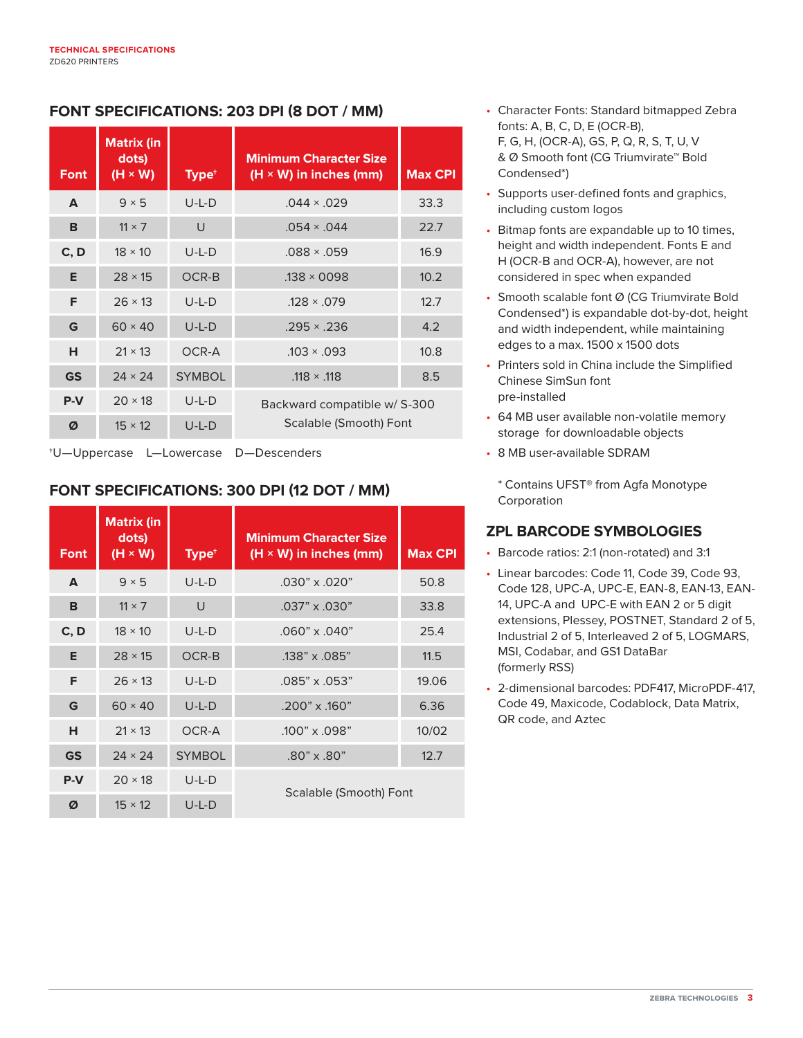# **FONT SPECIFICATIONS: 203 DPI (8 DOT / MM)**

| <b>Font</b>      | <b>Matrix (in</b><br>dots)<br>$(H \times W)$ | Type <sup>+</sup> | <b>Minimum Character Size</b><br>$(H \times W)$ in inches (mm) | <b>Max CPI</b> |
|------------------|----------------------------------------------|-------------------|----------------------------------------------------------------|----------------|
| $\blacktriangle$ | $9 \times 5$                                 | $U-L-D$           | $.044 \times .029$                                             | 33.3           |
| B                | $11 \times 7$                                | U                 | $.054 \times .044$                                             | 22.7           |
| C, D             | $18 \times 10$                               | $U-L-D$           | $.088 \times .059$                                             | 16.9           |
| Е                | $28 \times 15$                               | OCR-B             | $.138 \times 0098$                                             | 10.2           |
| F                | $26 \times 13$                               | $U-L-D$           | $.128 \times .079$                                             | 12.7           |
| G                | $60 \times 40$                               | $U-L-D$           | $.295 \times .236$                                             | 4.2            |
| н                | $21 \times 13$                               | OCR-A             | $.103 \times .093$                                             | 10.8           |
| <b>GS</b>        | $24 \times 24$                               | <b>SYMBOL</b>     | $.118 \times .118$                                             | 8.5            |
| $P-V$            | $20 \times 18$                               | $U-L-D$           | Backward compatible w/ S-300                                   |                |
| Ø                | $15 \times 12$                               | U-L-D             | Scalable (Smooth) Font                                         |                |

†U—Uppercase L—Lowercase D—Descenders

# **FONT SPECIFICATIONS: 300 DPI (12 DOT / MM)**

| <b>Font</b> | <b>Matrix (in</b><br>dots)<br>$(H \times W)$ | Type <sup>+</sup> | <b>Minimum Character Size</b><br>$(H \times W)$ in inches (mm) | <b>Max CPI</b> |
|-------------|----------------------------------------------|-------------------|----------------------------------------------------------------|----------------|
| A           | $9 \times 5$                                 | $U-L-D$           | $.030" \times .020"$                                           | 50.8           |
| B           | $11 \times 7$                                | U                 | $.037" \times .030"$                                           | 33.8           |
| C, D        | $18 \times 10$                               | $U-L-D$           | $.060" \times .040"$                                           | 25.4           |
| E.          | $28 \times 15$                               | OCR-B             | .138" x .085"                                                  | 11.5           |
| F.          | $26 \times 13$                               | $U-L-D$           | $.085" \times .053"$                                           | 19.06          |
| G           | $60 \times 40$                               | $U-L-D$           | $.200" \times .160"$                                           | 6.36           |
| н           | $21 \times 13$                               | OCR-A             | .100" x .098"                                                  | 10/02          |
| <b>GS</b>   | $24 \times 24$                               | <b>SYMBOL</b>     | $.80" \times .80"$                                             | 12.7           |
| $P-V$       | $20 \times 18$                               | $U-L-D$           | Scalable (Smooth) Font                                         |                |
| Ø           | $15 \times 12$                               | $U-L-D$           |                                                                |                |

- Character Fonts: Standard bitmapped Zebra fonts: A, B, C, D, E (OCR-B), F, G, H, (OCR-A), GS, P, Q, R, S, T, U, V & Ø Smooth font (CG Triumvirate™ Bold Condensed\*)
- Supports user-defined fonts and graphics, including custom logos
- Bitmap fonts are expandable up to 10 times, height and width independent. Fonts E and H (OCR-B and OCR-A), however, are not considered in spec when expanded
- Smooth scalable font Ø (CG Triumvirate Bold Condensed\*) is expandable dot-by-dot, height and width independent, while maintaining edges to a max. 1500 x 1500 dots
- Printers sold in China include the Simplified Chinese SimSun font pre-installed
- 64 MB user available non-volatile memory storage for downloadable objects
- 8 MB user-available SDRAM

\* Contains UFST® from Agfa Monotype Corporation

# **ZPL BARCODE SYMBOLOGIES**

- Barcode ratios: 2:1 (non-rotated) and 3:1
- Linear barcodes: Code 11, Code 39, Code 93, Code 128, UPC-A, UPC-E, EAN-8, EAN-13, EAN-14, UPC-A and UPC-E with EAN 2 or 5 digit extensions, Plessey, POSTNET, Standard 2 of 5, Industrial 2 of 5, Interleaved 2 of 5, LOGMARS, MSI, Codabar, and GS1 DataBar (formerly RSS)
- 2-dimensional barcodes: PDF417, MicroPDF-417, Code 49, Maxicode, Codablock, Data Matrix, QR code, and Aztec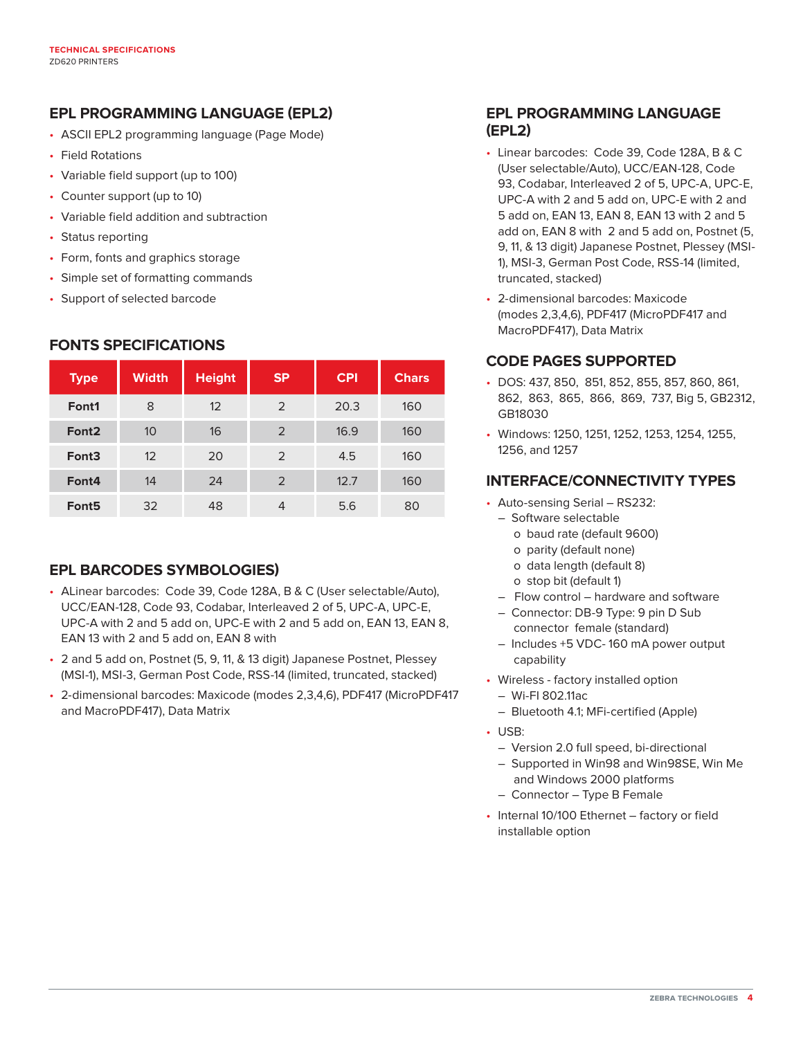# **EPL PROGRAMMING LANGUAGE (EPL2)**

- ASCII EPL2 programming language (Page Mode)
- Field Rotations
- Variable field support (up to 100)
- Counter support (up to 10)
- Variable field addition and subtraction
- Status reporting
- Form, fonts and graphics storage
- Simple set of formatting commands
- Support of selected barcode

# **FONTS SPECIFICATIONS**

| <b>Type</b>       | <b>Width</b> | <b>Height</b> | <b>SP</b> | <b>CPI</b> | <b>Chars</b> |
|-------------------|--------------|---------------|-----------|------------|--------------|
| Font1             | 8            | 12            | 2         | 20.3       | 160          |
| Font <sub>2</sub> | 10           | 16            | 2         | 16.9       | 160          |
| Font <sub>3</sub> | 12           | 20            | 2         | 4.5        | 160          |
| Font4             | 14           | 24            | 2         | 12.7       | 160          |
| Font <sub>5</sub> | 32           | 48            | 4         | 5.6        | 80           |

# **EPL BARCODES SYMBOLOGIES)**

- ALinear barcodes: Code 39, Code 128A, B & C (User selectable/Auto), UCC/EAN-128, Code 93, Codabar, Interleaved 2 of 5, UPC-A, UPC-E, UPC-A with 2 and 5 add on, UPC-E with 2 and 5 add on, EAN 13, EAN 8, EAN 13 with 2 and 5 add on, EAN 8 with
- 2 and 5 add on, Postnet (5, 9, 11, & 13 digit) Japanese Postnet, Plessey (MSI-1), MSI-3, German Post Code, RSS-14 (limited, truncated, stacked)
- 2-dimensional barcodes: Maxicode (modes 2,3,4,6), PDF417 (MicroPDF417 and MacroPDF417), Data Matrix

# **EPL PROGRAMMING LANGUAGE (EPL2)**

- Linear barcodes: Code 39, Code 128A, B & C (User selectable/Auto), UCC/EAN-128, Code 93, Codabar, Interleaved 2 of 5, UPC-A, UPC-E, UPC-A with 2 and 5 add on, UPC-E with 2 and 5 add on, EAN 13, EAN 8, EAN 13 with 2 and 5 add on, EAN 8 with 2 and 5 add on, Postnet (5, 9, 11, & 13 digit) Japanese Postnet, Plessey (MSI-1), MSI-3, German Post Code, RSS-14 (limited, truncated, stacked)
- 2-dimensional barcodes: Maxicode (modes 2,3,4,6), PDF417 (MicroPDF417 and MacroPDF417), Data Matrix

# **CODE PAGES SUPPORTED**

- DOS: 437, 850, 851, 852, 855, 857, 860, 861, 862, 863, 865, 866, 869, 737, Big 5, GB2312, GB18030
- Windows: 1250, 1251, 1252, 1253, 1254, 1255, 1256, and 1257

# **INTERFACE/CONNECTIVITY TYPES**

- Auto-sensing Serial RS232:
	- Software selectable
		- o baud rate (default 9600)
		- o parity (default none)
		- o data length (default 8)
		- o stop bit (default 1)
	- Flow control hardware and software
	- Connector: DB-9 Type: 9 pin D Sub connector female (standard)
	- Includes +5 VDC- 160 mA power output capability
- Wireless factory installed option
	- Wi-FI 802.11ac
	- Bluetooth 4.1; MFi-certified (Apple)
- USB:
	- Version 2.0 full speed, bi-directional
	- Supported in Win98 and Win98SE, Win Me and Windows 2000 platforms
	- Connector Type B Female
- Internal 10/100 Ethernet factory or field installable option